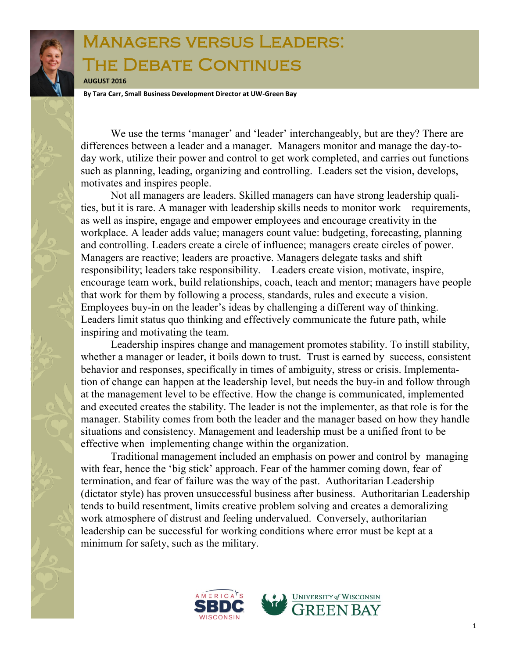## Managers versus Leaders: The Debate Continues

**AUGUST 2016**

**By Tara Carr, Small Business Development Director at UW-Green Bay**

We use the terms 'manager' and 'leader' interchangeably, but are they? There are differences between a leader and a manager. Managers monitor and manage the day-today work, utilize their power and control to get work completed, and carries out functions such as planning, leading, organizing and controlling. Leaders set the vision, develops, motivates and inspires people.

Not all managers are leaders. Skilled managers can have strong leadership qualities, but it is rare. A manager with leadership skills needs to monitor work requirements, as well as inspire, engage and empower employees and encourage creativity in the workplace. A leader adds value; managers count value: budgeting, forecasting, planning and controlling. Leaders create a circle of influence; managers create circles of power. Managers are reactive; leaders are proactive. Managers delegate tasks and shift responsibility; leaders take responsibility. Leaders create vision, motivate, inspire, encourage team work, build relationships, coach, teach and mentor; managers have people that work for them by following a process, standards, rules and execute a vision. Employees buy-in on the leader's ideas by challenging a different way of thinking. Leaders limit status quo thinking and effectively communicate the future path, while inspiring and motivating the team.

Leadership inspires change and management promotes stability. To instill stability, whether a manager or leader, it boils down to trust. Trust is earned by success, consistent behavior and responses, specifically in times of ambiguity, stress or crisis. Implementation of change can happen at the leadership level, but needs the buy-in and follow through at the management level to be effective. How the change is communicated, implemented and executed creates the stability. The leader is not the implementer, as that role is for the manager. Stability comes from both the leader and the manager based on how they handle situations and consistency. Management and leadership must be a unified front to be effective when implementing change within the organization.

Traditional management included an emphasis on power and control by managing with fear, hence the 'big stick' approach. Fear of the hammer coming down, fear of termination, and fear of failure was the way of the past. Authoritarian Leadership (dictator style) has proven unsuccessful business after business. Authoritarian Leadership tends to build resentment, limits creative problem solving and creates a demoralizing work atmosphere of distrust and feeling undervalued. Conversely, authoritarian leadership can be successful for working conditions where error must be kept at a minimum for safety, such as the military.